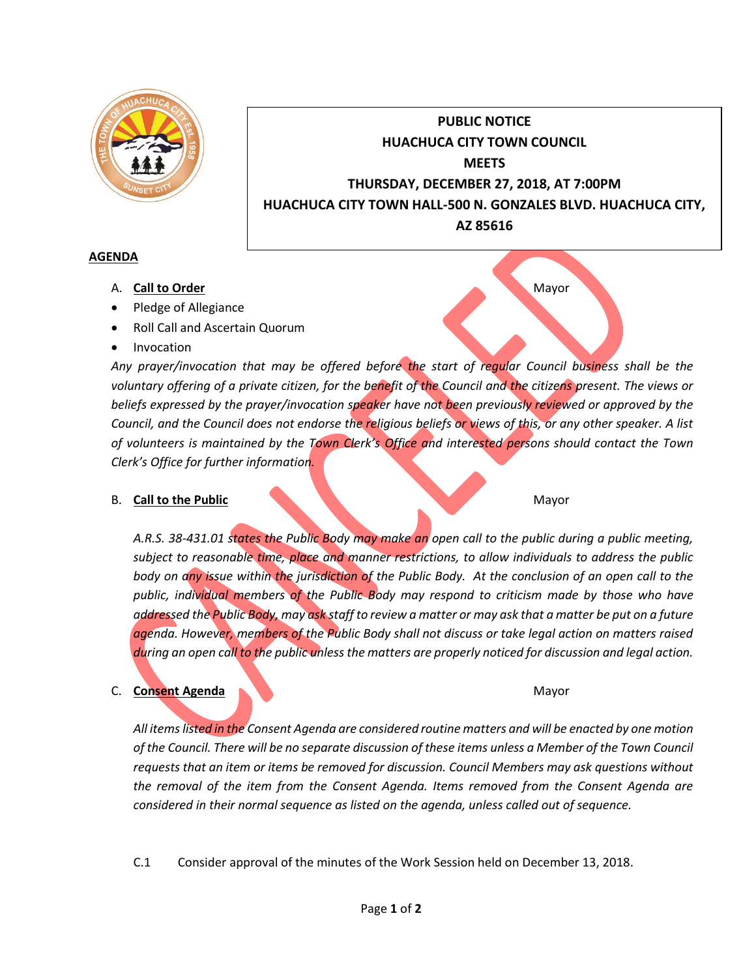

# **PUBLIC NOTICE HUACHUCA CITY TOWN COUNCIL MEETS THURSDAY, DECEMBER 27, 2018, AT 7:00PM HUACHUCA CITY TOWN HALL-500 N. GONZALES BLVD. HUACHUCA CITY, AZ 85616**

#### **AGENDA**

- A. **Call to Order** Mayor
- Pledge of Allegiance
- Roll Call and Ascertain Quorum
- Invocation

*Any prayer/invocation that may be offered before the start of regular Council business shall be the*  voluntary offering of a private citizen, for the benefit of the Council and the citizens present. The views or *beliefs expressed by the prayer/invocation speaker have not been previously reviewed or approved by the Council, and the Council does not endorse the religious beliefs or views of this, or any other speaker. A list of volunteers is maintained by the Town Clerk's Office and interested persons should contact the Town Clerk's Office for further information.*

## **B. Call to the Public** Mayor

*A.R.S. 38-431.01 states the Public Body may make an open call to the public during a public meeting, subject to reasonable time, place and manner restrictions, to allow individuals to address the public body on any issue within the jurisdiction of the Public Body. At the conclusion of an open call to the public, individual members of the Public Body may respond to criticism made by those who have addressed the Public Body, may ask staff to review a matter or may ask that a matter be put on a future agenda. However, members of the Public Body shall not discuss or take legal action on matters raised during an open call to the public unless the matters are properly noticed for discussion and legal action.*

## C. Consent Agenda Mayor

*All items listed in the Consent Agenda are considered routine matters and will be enacted by one motion of the Council. There will be no separate discussion of these items unless a Member of the Town Council requests that an item or items be removed for discussion. Council Members may ask questions without the removal of the item from the Consent Agenda. Items removed from the Consent Agenda are considered in their normal sequence as listed on the agenda, unless called out of sequence.*

C.1 Consider approval of the minutes of the Work Session held on December 13, 2018.